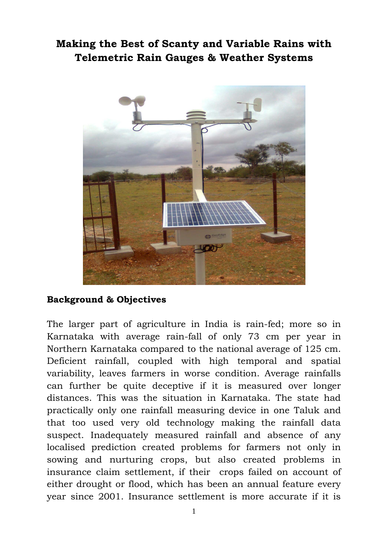## **Making the Best of Scanty and Variable Rains with Telemetric Rain Gauges & Weather Systems**



## **Background & Objectives**

The larger part of agriculture in India is rain-fed; more so in Karnataka with average rain-fall of only 73 cm per year in Northern Karnataka compared to the national average of 125 cm. Deficient rainfall, coupled with high temporal and spatial variability, leaves farmers in worse condition. Average rainfalls can further be quite deceptive if it is measured over longer distances. This was the situation in Karnataka. The state had practically only one rainfall measuring device in one Taluk and that too used very old technology making the rainfall data suspect. Inadequately measured rainfall and absence of any localised prediction created problems for farmers not only in sowing and nurturing crops, but also created problems in insurance claim settlement, if their crops failed on account of either drought or flood, which has been an annual feature every year since 2001. Insurance settlement is more accurate if it is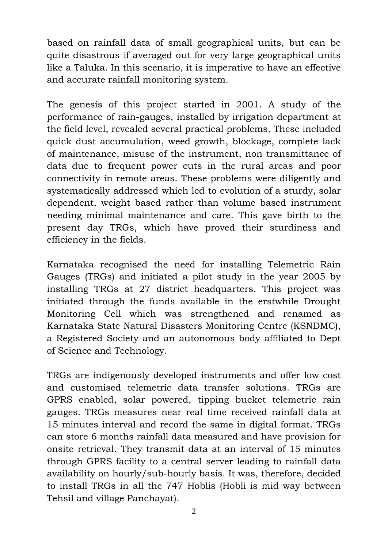based on rainfall data of small geographical units, but can be quite disastrous if averaged out for very large geographical units like a Taluka. In this scenario, it is imperative to have an effective and accurate rainfall monitoring system.

The genesis of this project started in 2001. A study of the performance of rain-gauges, installed by irrigation department at the field level, revealed several practical problems. These included quick dust accumulation, weed growth, blockage, complete lack of maintenance, misuse of the instrument, non transmittance of data due to frequent power cuts in the rural areas and poor connectivity in remote areas. These problems were diligently and systematically addressed which led to evolution of a sturdy, solar dependent, weight based rather than volume based instrument needing minimal maintenance and care. This gave birth to the present day TRGs, which have proved their sturdiness and efficiency in the fields.

Karnataka recognised the need for installing Telemetric Rain Gauges (TRGs) and initiated a pilot study in the year 2005 by installing TRGs at 27 district headquarters. This project was initiated through the funds available in the erstwhile Drought Monitoring Cell which was strengthened and renamed as Karnataka State Natural Disasters Monitoring Centre (KSNDMC), a Registered Society and an autonomous body affiliated to Dept of Science and Technology.

TRGs are indigenously developed instruments and offer low cost and customised telemetric data transfer solutions. TRGs are GPRS enabled, solar powered, tipping bucket telemetric rain gauges. TRGs measures near real time received rainfall data at 15 minutes interval and record the same in digital format. TRGs can store 6 months rainfall data measured and have provision for onsite retrieval. They transmit data at an interval of 15 minutes through GPRS facility to a central server leading to rainfall data availability on hourly/sub-hourly basis. It was, therefore, decided to install TRGs in all the 747 Hoblis (Hobli is mid way between Tehsil and village Panchayat).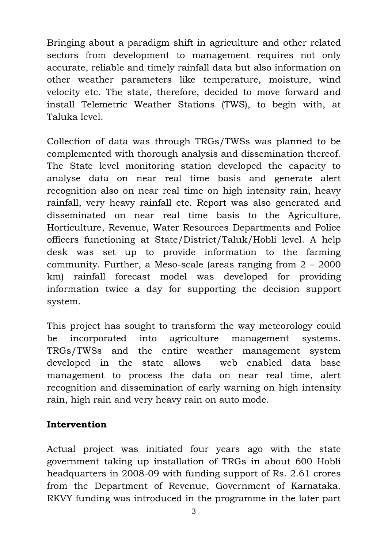Bringing about a paradigm shift in agriculture and other related sectors from development to management requires not only accurate, reliable and timely rainfall data but also information on other weather parameters like temperature, moisture, wind velocity etc. The state, therefore, decided to move forward and install Telemetric Weather Stations (TWS), to begin with, at Taluka level.

Collection of data was through TRGs/TWSs was planned to be complemented with thorough analysis and dissemination thereof. The State level monitoring station developed the capacity to analyse data on near real time basis and generate alert recognition also on near real time on high intensity rain, heavy rainfall, very heavy rainfall etc. Report was also generated and disseminated on near real time basis to the Agriculture, Horticulture, Revenue, Water Resources Departments and Police officers functioning at State/District/Taluk/Hobli level. A help desk was set up to provide information to the farming community. Further, a Meso-scale (areas ranging from 2 – 2000 km) rainfall forecast model was developed for providing information twice a day for supporting the decision support system.

This project has sought to transform the way meteorology could be incorporated into agriculture management systems. TRGs/TWSs and the entire weather management system developed in the state allows web enabled data base management to process the data on near real time, alert recognition and dissemination of early warning on high intensity rain, high rain and very heavy rain on auto mode.

## **Intervention**

Actual project was initiated four years ago with the state government taking up installation of TRGs in about 600 Hobli headquarters in 2008-09 with funding support of Rs. 2.61 crores from the Department of Revenue, Government of Karnataka. RKVY funding was introduced in the programme in the later part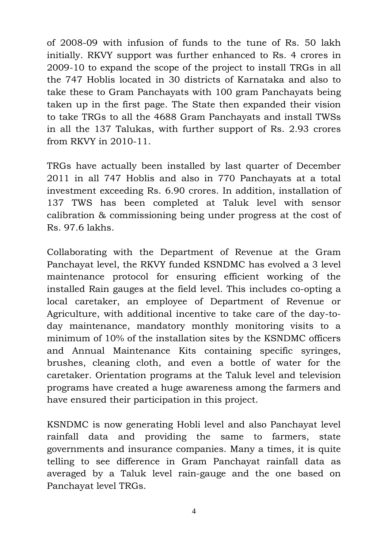of 2008-09 with infusion of funds to the tune of Rs. 50 lakh initially. RKVY support was further enhanced to Rs. 4 crores in 2009-10 to expand the scope of the project to install TRGs in all the 747 Hoblis located in 30 districts of Karnataka and also to take these to Gram Panchayats with 100 gram Panchayats being taken up in the first page. The State then expanded their vision to take TRGs to all the 4688 Gram Panchayats and install TWSs in all the 137 Talukas, with further support of Rs. 2.93 crores from RKVY in 2010-11.

TRGs have actually been installed by last quarter of December 2011 in all 747 Hoblis and also in 770 Panchayats at a total investment exceeding Rs. 6.90 crores. In addition, installation of 137 TWS has been completed at Taluk level with sensor calibration & commissioning being under progress at the cost of Rs. 97.6 lakhs.

Collaborating with the Department of Revenue at the Gram Panchayat level, the RKVY funded KSNDMC has evolved a 3 level maintenance protocol for ensuring efficient working of the installed Rain gauges at the field level. This includes co-opting a local caretaker, an employee of Department of Revenue or Agriculture, with additional incentive to take care of the day-today maintenance, mandatory monthly monitoring visits to a minimum of 10% of the installation sites by the KSNDMC officers and Annual Maintenance Kits containing specific syringes, brushes, cleaning cloth, and even a bottle of water for the caretaker. Orientation programs at the Taluk level and television programs have created a huge awareness among the farmers and have ensured their participation in this project.

KSNDMC is now generating Hobli level and also Panchayat level rainfall data and providing the same to farmers, state governments and insurance companies. Many a times, it is quite telling to see difference in Gram Panchayat rainfall data as averaged by a Taluk level rain-gauge and the one based on Panchayat level TRGs.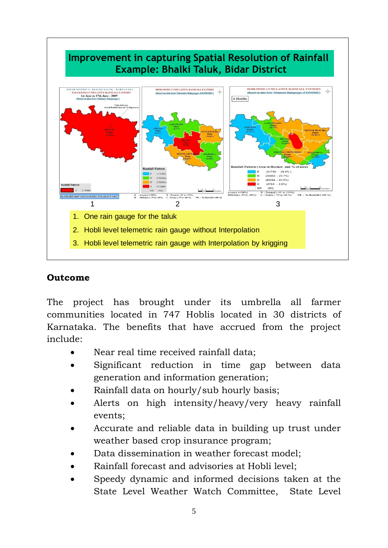

## **Outcome**

The project has brought under its umbrella all farmer communities located in 747 Hoblis located in 30 districts of Karnataka. The benefits that have accrued from the project include:

- Near real time received rainfall data;
- Significant reduction in time gap between data generation and information generation;
- Rainfall data on hourly/sub hourly basis;
- Alerts on high intensity/heavy/very heavy rainfall events;
- Accurate and reliable data in building up trust under weather based crop insurance program;
- Data dissemination in weather forecast model;
- Rainfall forecast and advisories at Hobli level;
- Speedy dynamic and informed decisions taken at the State Level Weather Watch Committee, State Level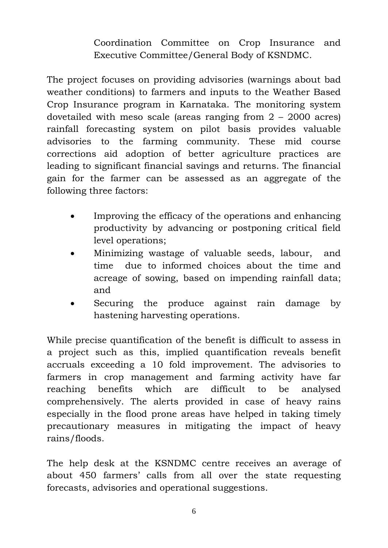Coordination Committee on Crop Insurance and Executive Committee/General Body of KSNDMC.

The project focuses on providing advisories (warnings about bad weather conditions) to farmers and inputs to the Weather Based Crop Insurance program in Karnataka. The monitoring system dovetailed with meso scale (areas ranging from 2 – 2000 acres) rainfall forecasting system on pilot basis provides valuable advisories to the farming community. These mid course corrections aid adoption of better agriculture practices are leading to significant financial savings and returns. The financial gain for the farmer can be assessed as an aggregate of the following three factors:

- Improving the efficacy of the operations and enhancing productivity by advancing or postponing critical field level operations;
- Minimizing wastage of valuable seeds, labour, and time due to informed choices about the time and acreage of sowing, based on impending rainfall data; and
- Securing the produce against rain damage by hastening harvesting operations.

While precise quantification of the benefit is difficult to assess in a project such as this, implied quantification reveals benefit accruals exceeding a 10 fold improvement. The advisories to farmers in crop management and farming activity have far reaching benefits which are difficult to be analysed comprehensively. The alerts provided in case of heavy rains especially in the flood prone areas have helped in taking timely precautionary measures in mitigating the impact of heavy rains/floods.

The help desk at the KSNDMC centre receives an average of about 450 farmers' calls from all over the state requesting forecasts, advisories and operational suggestions.

6